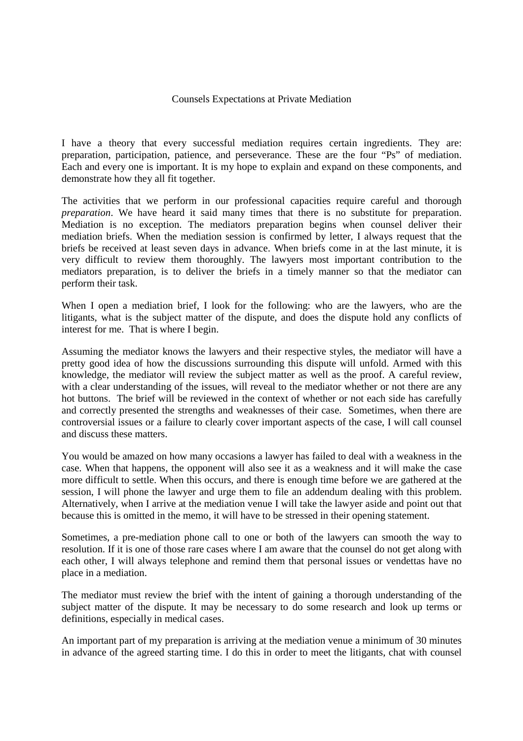## Counsels Expectations at Private Mediation

I have a theory that every successful mediation requires certain ingredients. They are: preparation, participation, patience, and perseverance. These are the four "Ps" of mediation. Each and every one is important. It is my hope to explain and expand on these components, and demonstrate how they all fit together.

The activities that we perform in our professional capacities require careful and thorough *preparation*. We have heard it said many times that there is no substitute for preparation. Mediation is no exception. The mediators preparation begins when counsel deliver their mediation briefs. When the mediation session is confirmed by letter, I always request that the briefs be received at least seven days in advance. When briefs come in at the last minute, it is very difficult to review them thoroughly. The lawyers most important contribution to the mediators preparation, is to deliver the briefs in a timely manner so that the mediator can perform their task.

When I open a mediation brief, I look for the following: who are the lawyers, who are the litigants, what is the subject matter of the dispute, and does the dispute hold any conflicts of interest for me. That is where I begin.

Assuming the mediator knows the lawyers and their respective styles, the mediator will have a pretty good idea of how the discussions surrounding this dispute will unfold. Armed with this knowledge, the mediator will review the subject matter as well as the proof. A careful review, with a clear understanding of the issues, will reveal to the mediator whether or not there are any hot buttons. The brief will be reviewed in the context of whether or not each side has carefully and correctly presented the strengths and weaknesses of their case. Sometimes, when there are controversial issues or a failure to clearly cover important aspects of the case, I will call counsel and discuss these matters.

You would be amazed on how many occasions a lawyer has failed to deal with a weakness in the case. When that happens, the opponent will also see it as a weakness and it will make the case more difficult to settle. When this occurs, and there is enough time before we are gathered at the session, I will phone the lawyer and urge them to file an addendum dealing with this problem. Alternatively, when I arrive at the mediation venue I will take the lawyer aside and point out that because this is omitted in the memo, it will have to be stressed in their opening statement.

Sometimes, a pre-mediation phone call to one or both of the lawyers can smooth the way to resolution. If it is one of those rare cases where I am aware that the counsel do not get along with each other, I will always telephone and remind them that personal issues or vendettas have no place in a mediation.

The mediator must review the brief with the intent of gaining a thorough understanding of the subject matter of the dispute. It may be necessary to do some research and look up terms or definitions, especially in medical cases.

An important part of my preparation is arriving at the mediation venue a minimum of 30 minutes in advance of the agreed starting time. I do this in order to meet the litigants, chat with counsel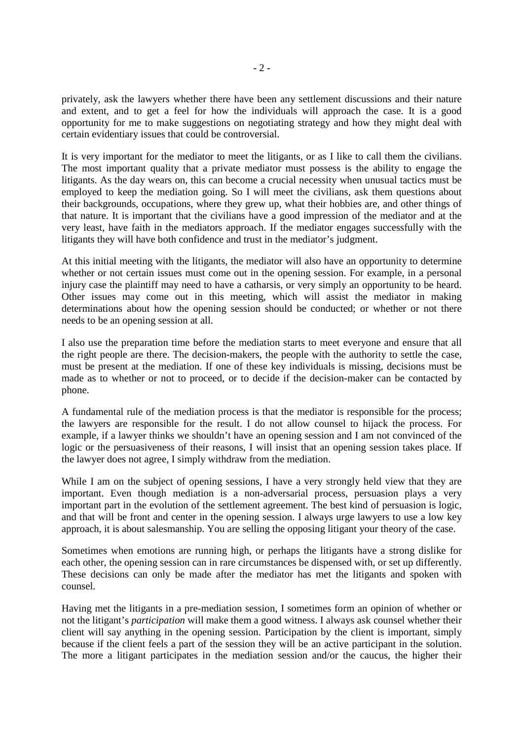privately, ask the lawyers whether there have been any settlement discussions and their nature and extent, and to get a feel for how the individuals will approach the case. It is a good opportunity for me to make suggestions on negotiating strategy and how they might deal with certain evidentiary issues that could be controversial.

It is very important for the mediator to meet the litigants, or as I like to call them the civilians. The most important quality that a private mediator must possess is the ability to engage the litigants. As the day wears on, this can become a crucial necessity when unusual tactics must be employed to keep the mediation going. So I will meet the civilians, ask them questions about their backgrounds, occupations, where they grew up, what their hobbies are, and other things of that nature. It is important that the civilians have a good impression of the mediator and at the very least, have faith in the mediators approach. If the mediator engages successfully with the litigants they will have both confidence and trust in the mediator's judgment.

At this initial meeting with the litigants, the mediator will also have an opportunity to determine whether or not certain issues must come out in the opening session. For example, in a personal injury case the plaintiff may need to have a catharsis, or very simply an opportunity to be heard. Other issues may come out in this meeting, which will assist the mediator in making determinations about how the opening session should be conducted; or whether or not there needs to be an opening session at all.

I also use the preparation time before the mediation starts to meet everyone and ensure that all the right people are there. The decision-makers, the people with the authority to settle the case, must be present at the mediation. If one of these key individuals is missing, decisions must be made as to whether or not to proceed, or to decide if the decision-maker can be contacted by phone.

A fundamental rule of the mediation process is that the mediator is responsible for the process; the lawyers are responsible for the result. I do not allow counsel to hijack the process. For example, if a lawyer thinks we shouldn't have an opening session and I am not convinced of the logic or the persuasiveness of their reasons, I will insist that an opening session takes place. If the lawyer does not agree, I simply withdraw from the mediation.

While I am on the subject of opening sessions, I have a very strongly held view that they are important. Even though mediation is a non-adversarial process, persuasion plays a very important part in the evolution of the settlement agreement. The best kind of persuasion is logic, and that will be front and center in the opening session. I always urge lawyers to use a low key approach, it is about salesmanship. You are selling the opposing litigant your theory of the case.

Sometimes when emotions are running high, or perhaps the litigants have a strong dislike for each other, the opening session can in rare circumstances be dispensed with, or set up differently. These decisions can only be made after the mediator has met the litigants and spoken with counsel.

Having met the litigants in a pre-mediation session, I sometimes form an opinion of whether or not the litigant's *participation* will make them a good witness. I always ask counsel whether their client will say anything in the opening session. Participation by the client is important, simply because if the client feels a part of the session they will be an active participant in the solution. The more a litigant participates in the mediation session and/or the caucus, the higher their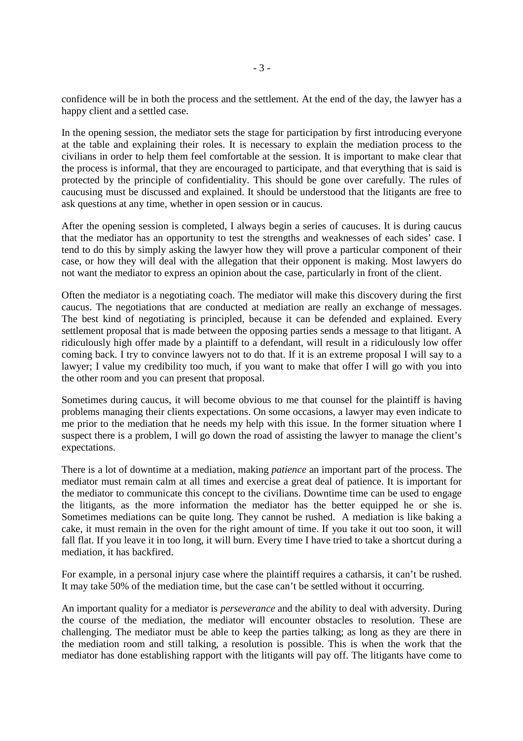confidence will be in both the process and the settlement. At the end of the day, the lawyer has a happy client and a settled case.

In the opening session, the mediator sets the stage for participation by first introducing everyone at the table and explaining their roles. It is necessary to explain the mediation process to the civilians in order to help them feel comfortable at the session. It is important to make clear that the process is informal, that they are encouraged to participate, and that everything that is said is protected by the principle of confidentiality. This should be gone over carefully. The rules of caucusing must be discussed and explained. It should be understood that the litigants are free to ask questions at any time, whether in open session or in caucus.

After the opening session is completed, I always begin a series of caucuses. It is during caucus that the mediator has an opportunity to test the strengths and weaknesses of each sides' case. I tend to do this by simply asking the lawyer how they will prove a particular component of their case, or how they will deal with the allegation that their opponent is making. Most lawyers do not want the mediator to express an opinion about the case, particularly in front of the client.

Often the mediator is a negotiating coach. The mediator will make this discovery during the first caucus. The negotiations that are conducted at mediation are really an exchange of messages. The best kind of negotiating is principled, because it can be defended and explained. Every settlement proposal that is made between the opposing parties sends a message to that litigant. A ridiculously high offer made by a plaintiff to a defendant, will result in a ridiculously low offer coming back. I try to convince lawyers not to do that. If it is an extreme proposal I will say to a lawyer; I value my credibility too much, if you want to make that offer I will go with you into the other room and you can present that proposal.

Sometimes during caucus, it will become obvious to me that counsel for the plaintiff is having problems managing their clients expectations. On some occasions, a lawyer may even indicate to me prior to the mediation that he needs my help with this issue. In the former situation where I suspect there is a problem, I will go down the road of assisting the lawyer to manage the client's expectations.

There is a lot of downtime at a mediation, making *patience* an important part of the process. The mediator must remain calm at all times and exercise a great deal of patience. It is important for the mediator to communicate this concept to the civilians. Downtime time can be used to engage the litigants, as the more information the mediator has the better equipped he or she is. Sometimes mediations can be quite long. They cannot be rushed. A mediation is like baking a cake, it must remain in the oven for the right amount of time. If you take it out too soon, it will fall flat. If you leave it in too long, it will burn. Every time I have tried to take a shortcut during a mediation, it has backfired.

For example, in a personal injury case where the plaintiff requires a catharsis, it can't be rushed. It may take 50% of the mediation time, but the case can't be settled without it occurring.

An important quality for a mediator is *perseverance* and the ability to deal with adversity. During the course of the mediation, the mediator will encounter obstacles to resolution. These are challenging. The mediator must be able to keep the parties talking; as long as they are there in the mediation room and still talking, a resolution is possible. This is when the work that the mediator has done establishing rapport with the litigants will pay off. The litigants have come to